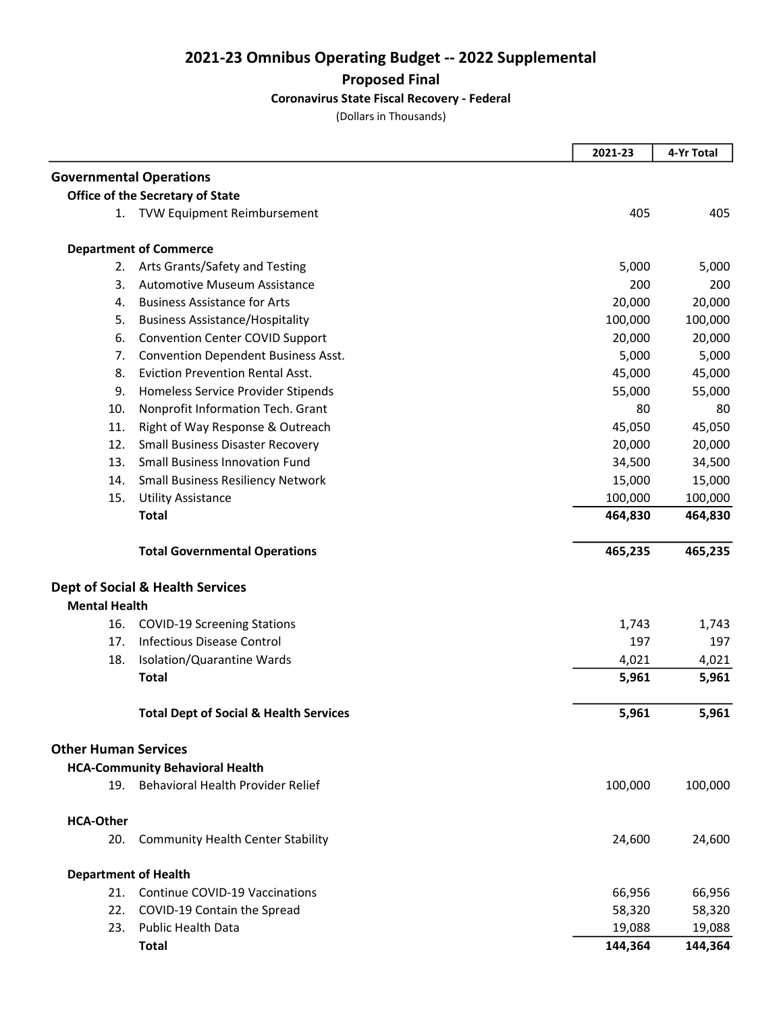2021-23 Omnibus Operating Budget -- 2022 Supplemental

Proposed Final

## Coronavirus State Fiscal Recovery - Federal

(Dollars in Thousands)

|                                |                                                   | 2021-23 | 4-Yr Total |
|--------------------------------|---------------------------------------------------|---------|------------|
| <b>Governmental Operations</b> |                                                   |         |            |
|                                | Office of the Secretary of State                  |         |            |
|                                | 1. TVW Equipment Reimbursement                    | 405     | 405        |
|                                | <b>Department of Commerce</b>                     |         |            |
| 2.                             | Arts Grants/Safety and Testing                    | 5,000   | 5,000      |
| 3.                             | <b>Automotive Museum Assistance</b>               | 200     | 200        |
| 4.                             | <b>Business Assistance for Arts</b>               | 20,000  | 20,000     |
| 5.                             | <b>Business Assistance/Hospitality</b>            | 100,000 | 100,000    |
| 6.                             | <b>Convention Center COVID Support</b>            | 20,000  | 20,000     |
| 7.                             | Convention Dependent Business Asst.               | 5,000   | 5,000      |
| 8.                             | <b>Eviction Prevention Rental Asst.</b>           | 45,000  | 45,000     |
| 9.                             | Homeless Service Provider Stipends                | 55,000  | 55,000     |
| 10.                            | Nonprofit Information Tech. Grant                 | 80      | 80         |
| 11.                            | Right of Way Response & Outreach                  | 45,050  | 45,050     |
| 12.                            | <b>Small Business Disaster Recovery</b>           | 20,000  | 20,000     |
| 13.                            | <b>Small Business Innovation Fund</b>             | 34,500  | 34,500     |
| 14.                            | <b>Small Business Resiliency Network</b>          | 15,000  | 15,000     |
| 15.                            | <b>Utility Assistance</b>                         | 100,000 | 100,000    |
|                                | <b>Total</b>                                      | 464,830 | 464,830    |
|                                | <b>Total Governmental Operations</b>              | 465,235 | 465,235    |
|                                | <b>Dept of Social &amp; Health Services</b>       |         |            |
| <b>Mental Health</b>           |                                                   |         |            |
| 16.                            | <b>COVID-19 Screening Stations</b>                | 1,743   | 1,743      |
| 17.                            | <b>Infectious Disease Control</b>                 | 197     | 197        |
| 18.                            | Isolation/Quarantine Wards                        | 4,021   | 4,021      |
|                                | <b>Total</b>                                      | 5,961   | 5,961      |
|                                | <b>Total Dept of Social &amp; Health Services</b> | 5,961   | 5,961      |
| <b>Other Human Services</b>    |                                                   |         |            |
|                                | <b>HCA-Community Behavioral Health</b>            |         |            |
| 19.                            | Behavioral Health Provider Relief                 | 100,000 | 100,000    |
| <b>HCA-Other</b>               |                                                   |         |            |
| 20.                            | <b>Community Health Center Stability</b>          | 24,600  | 24,600     |
| <b>Department of Health</b>    |                                                   |         |            |
| 21.                            | Continue COVID-19 Vaccinations                    | 66,956  | 66,956     |
| 22.                            | COVID-19 Contain the Spread                       | 58,320  | 58,320     |
| 23.                            | <b>Public Health Data</b>                         | 19,088  | 19,088     |
|                                | <b>Total</b>                                      | 144,364 | 144,364    |